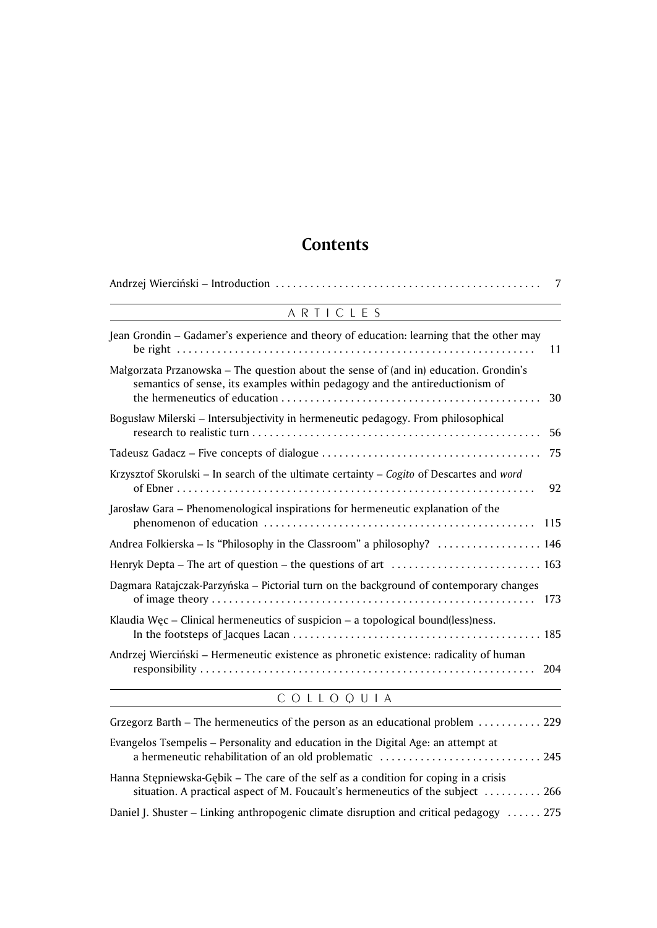## Contents

| 7                                                                                                                                                                           |  |
|-----------------------------------------------------------------------------------------------------------------------------------------------------------------------------|--|
| ARTICLES                                                                                                                                                                    |  |
| Jean Grondin - Gadamer's experience and theory of education: learning that the other may<br>11                                                                              |  |
| Małgorzata Przanowska – The question about the sense of (and in) education. Grondin's<br>semantics of sense, its examples within pedagogy and the antireductionism of<br>30 |  |
| Bogusław Milerski – Intersubjectivity in hermeneutic pedagogy. From philosophical<br>56                                                                                     |  |
| 75                                                                                                                                                                          |  |
| Krzysztof Skorulski – In search of the ultimate certainty – Cogito of Descartes and word<br>92                                                                              |  |
| Jarosław Gara – Phenomenological inspirations for hermeneutic explanation of the<br>115                                                                                     |  |
| Andrea Folkierska - Is "Philosophy in the Classroom" a philosophy?  146                                                                                                     |  |
| Henryk Depta – The art of question – the questions of art $\dots\dots\dots\dots\dots\dots\dots\dots\dots$                                                                   |  |
| Dagmara Ratajczak-Parzyńska – Pictorial turn on the background of contemporary changes                                                                                      |  |
| Klaudia Wec – Clinical hermeneutics of suspicion – a topological bound(less)ness.                                                                                           |  |
| Andrzej Wierciński – Hermeneutic existence as phronetic existence: radicality of human<br>204                                                                               |  |
| COLLOQUIA                                                                                                                                                                   |  |

| Grzegorz Barth – The hermeneutics of the person as an educational problem $\dots\dots\dots\dots$ 229                                                                                     |  |
|------------------------------------------------------------------------------------------------------------------------------------------------------------------------------------------|--|
| Evangelos Tsempelis – Personality and education in the Digital Age: an attempt at                                                                                                        |  |
| Hanna Stepniewska-Gebik – The care of the self as a condition for coping in a crisis<br>situation. A practical aspect of M. Foucault's hermeneutics of the subject $\dots\dots\dots$ 266 |  |
| Daniel J. Shuster – Linking anthropogenic climate disruption and critical pedagogy  275                                                                                                  |  |